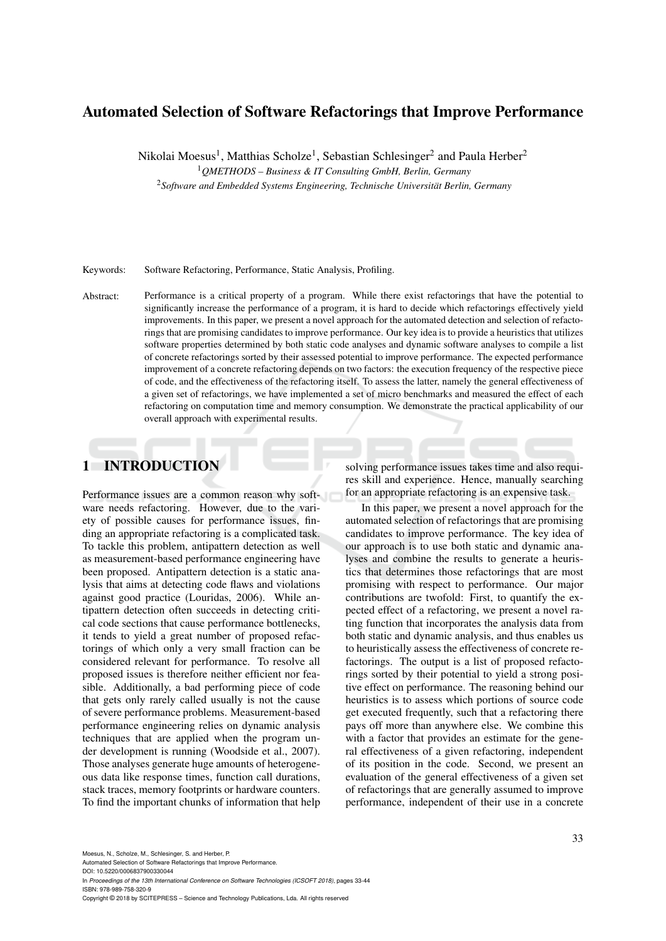# Automated Selection of Software Refactorings that Improve Performance

Nikolai Moesus<sup>1</sup>, Matthias Scholze<sup>1</sup>, Sebastian Schlesinger<sup>2</sup> and Paula Herber<sup>2</sup>

<sup>1</sup>*QMETHODS – Business & IT Consulting GmbH, Berlin, Germany*

<sup>2</sup>*Software and Embedded Systems Engineering, Technische Universitat Berlin, Germany ¨*

#### Keywords: Software Refactoring, Performance, Static Analysis, Profiling.

Abstract: Performance is a critical property of a program. While there exist refactorings that have the potential to significantly increase the performance of a program, it is hard to decide which refactorings effectively yield improvements. In this paper, we present a novel approach for the automated detection and selection of refactorings that are promising candidates to improve performance. Our key idea is to provide a heuristics that utilizes software properties determined by both static code analyses and dynamic software analyses to compile a list of concrete refactorings sorted by their assessed potential to improve performance. The expected performance improvement of a concrete refactoring depends on two factors: the execution frequency of the respective piece of code, and the effectiveness of the refactoring itself. To assess the latter, namely the general effectiveness of a given set of refactorings, we have implemented a set of micro benchmarks and measured the effect of each refactoring on computation time and memory consumption. We demonstrate the practical applicability of our overall approach with experimental results.

# 1 INTRODUCTION

Performance issues are a common reason why software needs refactoring. However, due to the variety of possible causes for performance issues, finding an appropriate refactoring is a complicated task. To tackle this problem, antipattern detection as well as measurement-based performance engineering have been proposed. Antipattern detection is a static analysis that aims at detecting code flaws and violations against good practice (Louridas, 2006). While antipattern detection often succeeds in detecting critical code sections that cause performance bottlenecks, it tends to yield a great number of proposed refactorings of which only a very small fraction can be considered relevant for performance. To resolve all proposed issues is therefore neither efficient nor feasible. Additionally, a bad performing piece of code that gets only rarely called usually is not the cause of severe performance problems. Measurement-based performance engineering relies on dynamic analysis techniques that are applied when the program under development is running (Woodside et al., 2007). Those analyses generate huge amounts of heterogeneous data like response times, function call durations, stack traces, memory footprints or hardware counters. To find the important chunks of information that help

solving performance issues takes time and also requires skill and experience. Hence, manually searching for an appropriate refactoring is an expensive task.

In this paper, we present a novel approach for the automated selection of refactorings that are promising candidates to improve performance. The key idea of our approach is to use both static and dynamic analyses and combine the results to generate a heuristics that determines those refactorings that are most promising with respect to performance. Our major contributions are twofold: First, to quantify the expected effect of a refactoring, we present a novel rating function that incorporates the analysis data from both static and dynamic analysis, and thus enables us to heuristically assess the effectiveness of concrete refactorings. The output is a list of proposed refactorings sorted by their potential to yield a strong positive effect on performance. The reasoning behind our heuristics is to assess which portions of source code get executed frequently, such that a refactoring there pays off more than anywhere else. We combine this with a factor that provides an estimate for the general effectiveness of a given refactoring, independent of its position in the code. Second, we present an evaluation of the general effectiveness of a given set of refactorings that are generally assumed to improve performance, independent of their use in a concrete

Automated Selection of Software Refactorings that Improve Performance.

DOI: 10.5220/0006837900330044 In *Proceedings of the 13th International Conference on Software Technologies (ICSOFT 2018)*, pages 33-44 ISBN: 978-989-758-320-9

Copyright © 2018 by SCITEPRESS – Science and Technology Publications, Lda. All rights reserved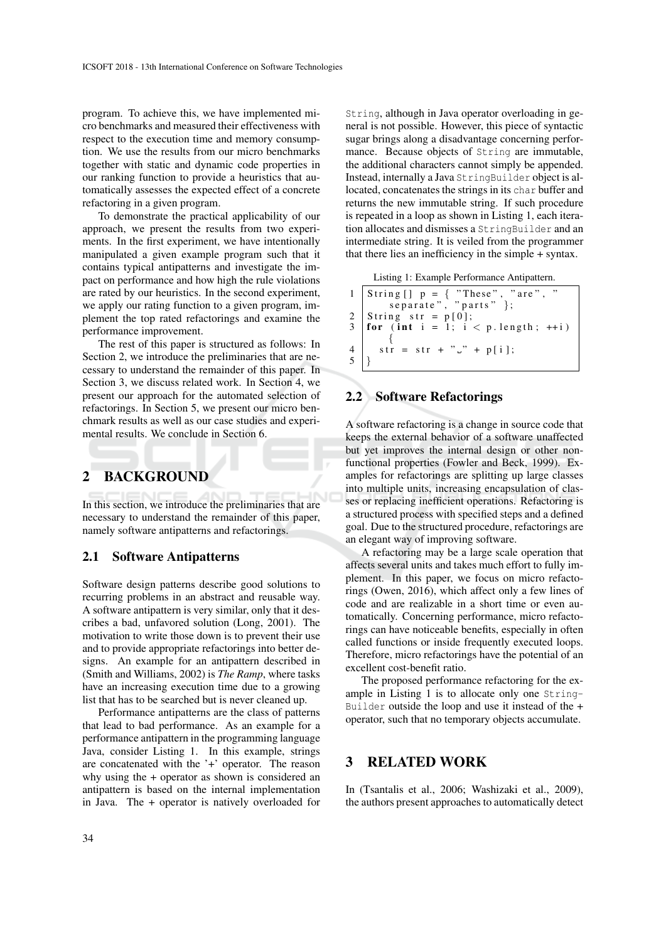program. To achieve this, we have implemented micro benchmarks and measured their effectiveness with respect to the execution time and memory consumption. We use the results from our micro benchmarks together with static and dynamic code properties in our ranking function to provide a heuristics that automatically assesses the expected effect of a concrete refactoring in a given program.

To demonstrate the practical applicability of our approach, we present the results from two experiments. In the first experiment, we have intentionally manipulated a given example program such that it contains typical antipatterns and investigate the impact on performance and how high the rule violations are rated by our heuristics. In the second experiment, we apply our rating function to a given program, implement the top rated refactorings and examine the performance improvement.

The rest of this paper is structured as follows: In Section 2, we introduce the preliminaries that are necessary to understand the remainder of this paper. In Section 3, we discuss related work. In Section 4, we present our approach for the automated selection of refactorings. In Section 5, we present our micro benchmark results as well as our case studies and experimental results. We conclude in Section 6.

### 2 BACKGROUND

In this section, we introduce the preliminaries that are necessary to understand the remainder of this paper, namely software antipatterns and refactorings.

### 2.1 Software Antipatterns

Software design patterns describe good solutions to recurring problems in an abstract and reusable way. A software antipattern is very similar, only that it describes a bad, unfavored solution (Long, 2001). The motivation to write those down is to prevent their use and to provide appropriate refactorings into better designs. An example for an antipattern described in (Smith and Williams, 2002) is *The Ramp*, where tasks have an increasing execution time due to a growing list that has to be searched but is never cleaned up.

Performance antipatterns are the class of patterns that lead to bad performance. As an example for a performance antipattern in the programming language Java, consider Listing 1. In this example, strings are concatenated with the '+' operator. The reason why using the + operator as shown is considered an antipattern is based on the internal implementation in Java. The + operator is natively overloaded for

String, although in Java operator overloading in general is not possible. However, this piece of syntactic sugar brings along a disadvantage concerning performance. Because objects of String are immutable, the additional characters cannot simply be appended. Instead, internally a Java StringBuilder object is allocated, concatenates the strings in its char buffer and returns the new immutable string. If such procedure is repeated in a loop as shown in Listing 1, each iteration allocates and dismisses a StringBuilder and an intermediate string. It is veiled from the programmer that there lies an inefficiency in the simple + syntax.

Listing 1: Example Performance Antipattern.

| 1   String $[] p = {$ "These", "are", "<br>separate", "parts" };       |
|------------------------------------------------------------------------|
|                                                                        |
|                                                                        |
| 2 String str = $p[0]$ ;<br>3 <b>for</b> (int i = 1; i < p.length; ++i) |
|                                                                        |
|                                                                        |
| $\begin{cases} 4 \\ 5 \end{cases}$ str = str + "" + p[i];              |
|                                                                        |

### 2.2 Software Refactorings

A software refactoring is a change in source code that keeps the external behavior of a software unaffected but yet improves the internal design or other nonfunctional properties (Fowler and Beck, 1999). Examples for refactorings are splitting up large classes into multiple units, increasing encapsulation of classes or replacing inefficient operations. Refactoring is a structured process with specified steps and a defined goal. Due to the structured procedure, refactorings are an elegant way of improving software.

A refactoring may be a large scale operation that affects several units and takes much effort to fully implement. In this paper, we focus on micro refactorings (Owen, 2016), which affect only a few lines of code and are realizable in a short time or even automatically. Concerning performance, micro refactorings can have noticeable benefits, especially in often called functions or inside frequently executed loops. Therefore, micro refactorings have the potential of an excellent cost-benefit ratio.

The proposed performance refactoring for the example in Listing 1 is to allocate only one String-Builder outside the loop and use it instead of the + operator, such that no temporary objects accumulate.

### 3 RELATED WORK

In (Tsantalis et al., 2006; Washizaki et al., 2009), the authors present approaches to automatically detect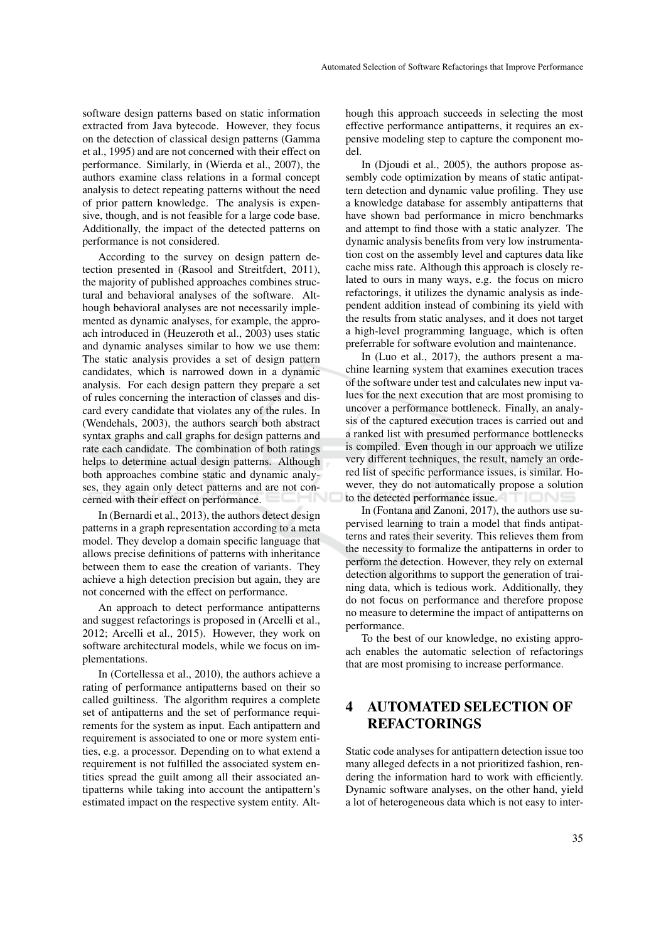software design patterns based on static information extracted from Java bytecode. However, they focus on the detection of classical design patterns (Gamma et al., 1995) and are not concerned with their effect on performance. Similarly, in (Wierda et al., 2007), the authors examine class relations in a formal concept analysis to detect repeating patterns without the need of prior pattern knowledge. The analysis is expensive, though, and is not feasible for a large code base. Additionally, the impact of the detected patterns on performance is not considered.

According to the survey on design pattern detection presented in (Rasool and Streitfdert, 2011), the majority of published approaches combines structural and behavioral analyses of the software. Although behavioral analyses are not necessarily implemented as dynamic analyses, for example, the approach introduced in (Heuzeroth et al., 2003) uses static and dynamic analyses similar to how we use them: The static analysis provides a set of design pattern candidates, which is narrowed down in a dynamic analysis. For each design pattern they prepare a set of rules concerning the interaction of classes and discard every candidate that violates any of the rules. In (Wendehals, 2003), the authors search both abstract syntax graphs and call graphs for design patterns and rate each candidate. The combination of both ratings helps to determine actual design patterns. Although both approaches combine static and dynamic analyses, they again only detect patterns and are not concerned with their effect on performance.

In (Bernardi et al., 2013), the authors detect design patterns in a graph representation according to a meta model. They develop a domain specific language that allows precise definitions of patterns with inheritance between them to ease the creation of variants. They achieve a high detection precision but again, they are not concerned with the effect on performance.

An approach to detect performance antipatterns and suggest refactorings is proposed in (Arcelli et al., 2012; Arcelli et al., 2015). However, they work on software architectural models, while we focus on implementations.

In (Cortellessa et al., 2010), the authors achieve a rating of performance antipatterns based on their so called guiltiness. The algorithm requires a complete set of antipatterns and the set of performance requirements for the system as input. Each antipattern and requirement is associated to one or more system entities, e.g. a processor. Depending on to what extend a requirement is not fulfilled the associated system entities spread the guilt among all their associated antipatterns while taking into account the antipattern's estimated impact on the respective system entity. Although this approach succeeds in selecting the most effective performance antipatterns, it requires an expensive modeling step to capture the component model.

In (Djoudi et al., 2005), the authors propose assembly code optimization by means of static antipattern detection and dynamic value profiling. They use a knowledge database for assembly antipatterns that have shown bad performance in micro benchmarks and attempt to find those with a static analyzer. The dynamic analysis benefits from very low instrumentation cost on the assembly level and captures data like cache miss rate. Although this approach is closely related to ours in many ways, e.g. the focus on micro refactorings, it utilizes the dynamic analysis as independent addition instead of combining its yield with the results from static analyses, and it does not target a high-level programming language, which is often preferrable for software evolution and maintenance.

In (Luo et al., 2017), the authors present a machine learning system that examines execution traces of the software under test and calculates new input values for the next execution that are most promising to uncover a performance bottleneck. Finally, an analysis of the captured execution traces is carried out and a ranked list with presumed performance bottlenecks is compiled. Even though in our approach we utilize very different techniques, the result, namely an ordered list of specific performance issues, is similar. However, they do not automatically propose a solution to the detected performance issue.

In (Fontana and Zanoni, 2017), the authors use supervised learning to train a model that finds antipatterns and rates their severity. This relieves them from the necessity to formalize the antipatterns in order to perform the detection. However, they rely on external detection algorithms to support the generation of training data, which is tedious work. Additionally, they do not focus on performance and therefore propose no measure to determine the impact of antipatterns on performance.

To the best of our knowledge, no existing approach enables the automatic selection of refactorings that are most promising to increase performance.

## 4 AUTOMATED SELECTION OF REFACTORINGS

Static code analyses for antipattern detection issue too many alleged defects in a not prioritized fashion, rendering the information hard to work with efficiently. Dynamic software analyses, on the other hand, yield a lot of heterogeneous data which is not easy to inter-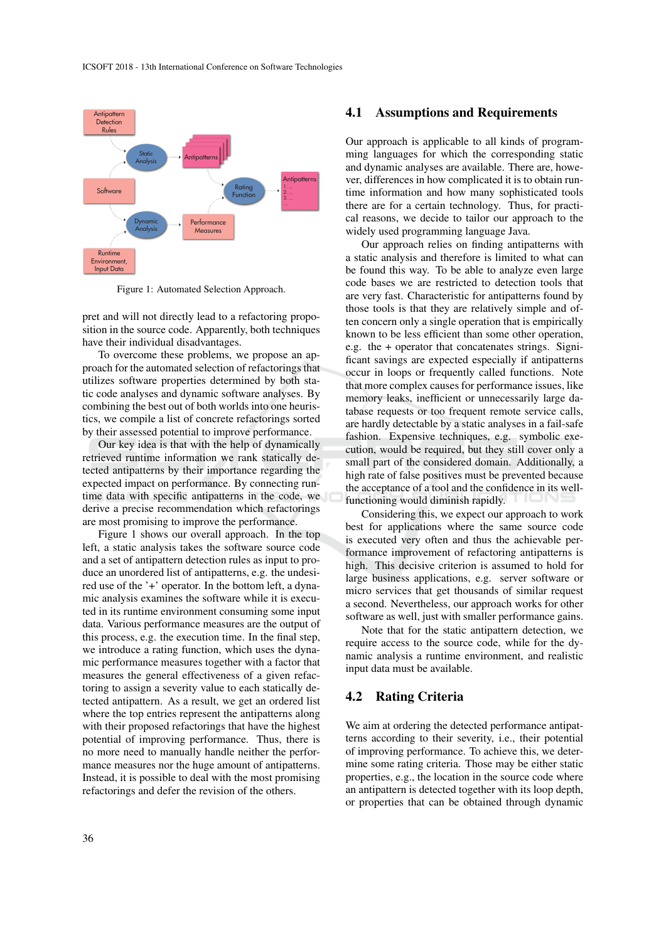

Figure 1: Automated Selection Approach.

pret and will not directly lead to a refactoring proposition in the source code. Apparently, both techniques have their individual disadvantages.

To overcome these problems, we propose an approach for the automated selection of refactorings that utilizes software properties determined by both static code analyses and dynamic software analyses. By combining the best out of both worlds into one heuristics, we compile a list of concrete refactorings sorted by their assessed potential to improve performance.

Our key idea is that with the help of dynamically retrieved runtime information we rank statically detected antipatterns by their importance regarding the expected impact on performance. By connecting runtime data with specific antipatterns in the code, we derive a precise recommendation which refactorings are most promising to improve the performance.

Figure 1 shows our overall approach. In the top left, a static analysis takes the software source code and a set of antipattern detection rules as input to produce an unordered list of antipatterns, e.g. the undesired use of the '+' operator. In the bottom left, a dynamic analysis examines the software while it is executed in its runtime environment consuming some input data. Various performance measures are the output of this process, e.g. the execution time. In the final step, we introduce a rating function, which uses the dynamic performance measures together with a factor that measures the general effectiveness of a given refactoring to assign a severity value to each statically detected antipattern. As a result, we get an ordered list where the top entries represent the antipatterns along with their proposed refactorings that have the highest potential of improving performance. Thus, there is no more need to manually handle neither the performance measures nor the huge amount of antipatterns. Instead, it is possible to deal with the most promising refactorings and defer the revision of the others.

### 4.1 Assumptions and Requirements

Our approach is applicable to all kinds of programming languages for which the corresponding static and dynamic analyses are available. There are, however, differences in how complicated it is to obtain runtime information and how many sophisticated tools there are for a certain technology. Thus, for practical reasons, we decide to tailor our approach to the widely used programming language Java.

Our approach relies on finding antipatterns with a static analysis and therefore is limited to what can be found this way. To be able to analyze even large code bases we are restricted to detection tools that are very fast. Characteristic for antipatterns found by those tools is that they are relatively simple and often concern only a single operation that is empirically known to be less efficient than some other operation, e.g. the + operator that concatenates strings. Significant savings are expected especially if antipatterns occur in loops or frequently called functions. Note that more complex causes for performance issues, like memory leaks, inefficient or unnecessarily large database requests or too frequent remote service calls, are hardly detectable by a static analyses in a fail-safe fashion. Expensive techniques, e.g. symbolic execution, would be required, but they still cover only a small part of the considered domain. Additionally, a high rate of false positives must be prevented because the acceptance of a tool and the confidence in its wellfunctioning would diminish rapidly.

Considering this, we expect our approach to work best for applications where the same source code is executed very often and thus the achievable performance improvement of refactoring antipatterns is high. This decisive criterion is assumed to hold for large business applications, e.g. server software or micro services that get thousands of similar request a second. Nevertheless, our approach works for other software as well, just with smaller performance gains.

Note that for the static antipattern detection, we require access to the source code, while for the dynamic analysis a runtime environment, and realistic input data must be available.

### 4.2 Rating Criteria

We aim at ordering the detected performance antipatterns according to their severity, i.e., their potential of improving performance. To achieve this, we determine some rating criteria. Those may be either static properties, e.g., the location in the source code where an antipattern is detected together with its loop depth, or properties that can be obtained through dynamic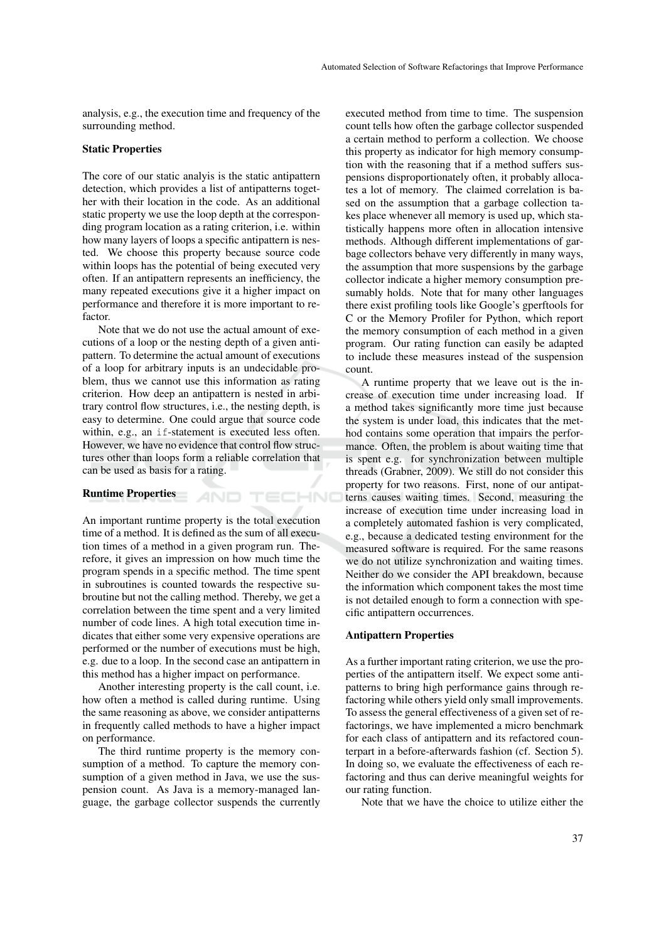analysis, e.g., the execution time and frequency of the surrounding method.

#### Static Properties

The core of our static analyis is the static antipattern detection, which provides a list of antipatterns together with their location in the code. As an additional static property we use the loop depth at the corresponding program location as a rating criterion, i.e. within how many layers of loops a specific antipattern is nested. We choose this property because source code within loops has the potential of being executed very often. If an antipattern represents an inefficiency, the many repeated executions give it a higher impact on performance and therefore it is more important to refactor

Note that we do not use the actual amount of executions of a loop or the nesting depth of a given antipattern. To determine the actual amount of executions of a loop for arbitrary inputs is an undecidable problem, thus we cannot use this information as rating criterion. How deep an antipattern is nested in arbitrary control flow structures, i.e., the nesting depth, is easy to determine. One could argue that source code within, e.g., an if-statement is executed less often. However, we have no evidence that control flow structures other than loops form a reliable correlation that can be used as basis for a rating.

**AND** 

TECHNO

#### Runtime Properties

An important runtime property is the total execution time of a method. It is defined as the sum of all execution times of a method in a given program run. Therefore, it gives an impression on how much time the program spends in a specific method. The time spent in subroutines is counted towards the respective subroutine but not the calling method. Thereby, we get a correlation between the time spent and a very limited number of code lines. A high total execution time indicates that either some very expensive operations are performed or the number of executions must be high, e.g. due to a loop. In the second case an antipattern in this method has a higher impact on performance.

Another interesting property is the call count, i.e. how often a method is called during runtime. Using the same reasoning as above, we consider antipatterns in frequently called methods to have a higher impact on performance.

The third runtime property is the memory consumption of a method. To capture the memory consumption of a given method in Java, we use the suspension count. As Java is a memory-managed language, the garbage collector suspends the currently executed method from time to time. The suspension count tells how often the garbage collector suspended a certain method to perform a collection. We choose this property as indicator for high memory consumption with the reasoning that if a method suffers suspensions disproportionately often, it probably allocates a lot of memory. The claimed correlation is based on the assumption that a garbage collection takes place whenever all memory is used up, which statistically happens more often in allocation intensive methods. Although different implementations of garbage collectors behave very differently in many ways, the assumption that more suspensions by the garbage collector indicate a higher memory consumption presumably holds. Note that for many other languages there exist profiling tools like Google's gperftools for C or the Memory Profiler for Python, which report the memory consumption of each method in a given program. Our rating function can easily be adapted to include these measures instead of the suspension count.

A runtime property that we leave out is the increase of execution time under increasing load. If a method takes significantly more time just because the system is under load, this indicates that the method contains some operation that impairs the performance. Often, the problem is about waiting time that is spent e.g. for synchronization between multiple threads (Grabner, 2009). We still do not consider this property for two reasons. First, none of our antipatterns causes waiting times. Second, measuring the increase of execution time under increasing load in a completely automated fashion is very complicated, e.g., because a dedicated testing environment for the measured software is required. For the same reasons we do not utilize synchronization and waiting times. Neither do we consider the API breakdown, because the information which component takes the most time is not detailed enough to form a connection with specific antipattern occurrences.

#### Antipattern Properties

As a further important rating criterion, we use the properties of the antipattern itself. We expect some antipatterns to bring high performance gains through refactoring while others yield only small improvements. To assess the general effectiveness of a given set of refactorings, we have implemented a micro benchmark for each class of antipattern and its refactored counterpart in a before-afterwards fashion (cf. Section 5). In doing so, we evaluate the effectiveness of each refactoring and thus can derive meaningful weights for our rating function.

Note that we have the choice to utilize either the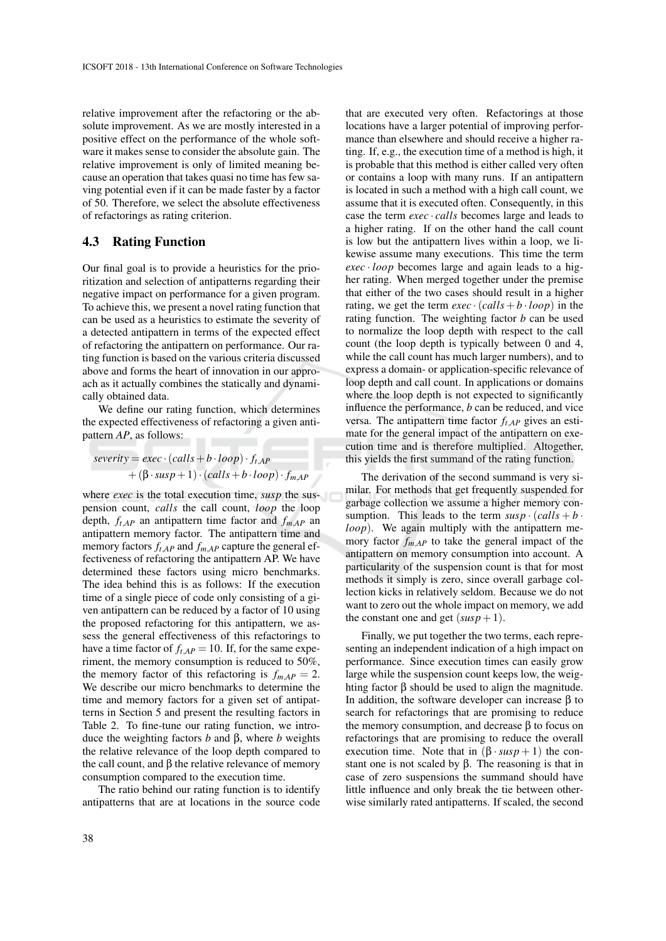relative improvement after the refactoring or the absolute improvement. As we are mostly interested in a positive effect on the performance of the whole software it makes sense to consider the absolute gain. The relative improvement is only of limited meaning because an operation that takes quasi no time has few saving potential even if it can be made faster by a factor of 50. Therefore, we select the absolute effectiveness of refactorings as rating criterion.

### 4.3 Rating Function

Our final goal is to provide a heuristics for the prioritization and selection of antipatterns regarding their negative impact on performance for a given program. To achieve this, we present a novel rating function that can be used as a heuristics to estimate the severity of a detected antipattern in terms of the expected effect of refactoring the antipattern on performance. Our rating function is based on the various criteria discussed above and forms the heart of innovation in our approach as it actually combines the statically and dynamically obtained data.

We define our rating function, which determines the expected effectiveness of refactoring a given antipattern *AP*, as follows: 

$$
severity = exec \cdot (cells + b \cdot loop) \cdot f_{t,AP}
$$
  
+ ( $\beta \cdot susp + 1$ ) \cdot (*cells* + *b* \cdot loop) \cdot f\_{m,AP}

where *exec* is the total execution time, *susp* the suspension count, *calls* the call count, *loop* the loop depth, *ft*,*AP* an antipattern time factor and *fm*,*AP* an antipattern memory factor. The antipattern time and memory factors  $f_{tAP}$  and  $f_{mAP}$  capture the general effectiveness of refactoring the antipattern AP. We have determined these factors using micro benchmarks. The idea behind this is as follows: If the execution time of a single piece of code only consisting of a given antipattern can be reduced by a factor of 10 using the proposed refactoring for this antipattern, we assess the general effectiveness of this refactorings to have a time factor of  $f_{t,AP} = 10$ . If, for the same experiment, the memory consumption is reduced to 50%, the memory factor of this refactoring is  $f_{mAP} = 2$ . We describe our micro benchmarks to determine the time and memory factors for a given set of antipatterns in Section 5 and present the resulting factors in Table 2. To fine-tune our rating function, we introduce the weighting factors *b* and β, where *b* weights the relative relevance of the loop depth compared to the call count, and β the relative relevance of memory consumption compared to the execution time.

The ratio behind our rating function is to identify antipatterns that are at locations in the source code

that are executed very often. Refactorings at those locations have a larger potential of improving performance than elsewhere and should receive a higher rating. If, e.g., the execution time of a method is high, it is probable that this method is either called very often or contains a loop with many runs. If an antipattern is located in such a method with a high call count, we assume that it is executed often. Consequently, in this case the term *exec* · *calls* becomes large and leads to a higher rating. If on the other hand the call count is low but the antipattern lives within a loop, we likewise assume many executions. This time the term *exec* · *loop* becomes large and again leads to a higher rating. When merged together under the premise that either of the two cases should result in a higher rating, we get the term  $exec \cdot (cells + b \cdot loop)$  in the rating function. The weighting factor *b* can be used to normalize the loop depth with respect to the call count (the loop depth is typically between 0 and 4, while the call count has much larger numbers), and to express a domain- or application-specific relevance of loop depth and call count. In applications or domains where the loop depth is not expected to significantly influence the performance, *b* can be reduced, and vice versa. The antipattern time factor  $f_{tAP}$  gives an estimate for the general impact of the antipattern on execution time and is therefore multiplied. Altogether, this yields the first summand of the rating function.

The derivation of the second summand is very similar. For methods that get frequently suspended for garbage collection we assume a higher memory consumption. This leads to the term  $susp \cdot (calls + b \cdot b)$ *loop*). We again multiply with the antipattern memory factor  $f_{mAP}$  to take the general impact of the antipattern on memory consumption into account. A particularity of the suspension count is that for most methods it simply is zero, since overall garbage collection kicks in relatively seldom. Because we do not want to zero out the whole impact on memory, we add the constant one and get  $(susp+1)$ .

Finally, we put together the two terms, each representing an independent indication of a high impact on performance. Since execution times can easily grow large while the suspension count keeps low, the weighting factor β should be used to align the magnitude. In addition, the software developer can increase β to search for refactorings that are promising to reduce the memory consumption, and decrease  $β$  to focus on refactorings that are promising to reduce the overall execution time. Note that in  $(\beta \cdot \text{susp} + 1)$  the constant one is not scaled by  $\beta$ . The reasoning is that in case of zero suspensions the summand should have little influence and only break the tie between otherwise similarly rated antipatterns. If scaled, the second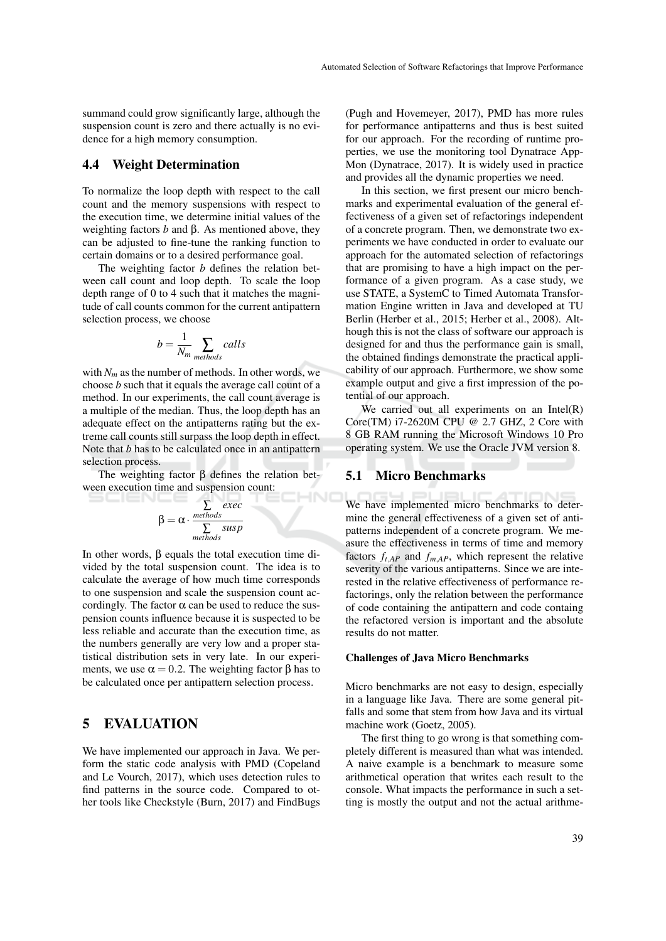summand could grow significantly large, although the suspension count is zero and there actually is no evidence for a high memory consumption.

### 4.4 Weight Determination

To normalize the loop depth with respect to the call count and the memory suspensions with respect to the execution time, we determine initial values of the weighting factors *b* and β. As mentioned above, they can be adjusted to fine-tune the ranking function to certain domains or to a desired performance goal.

The weighting factor *b* defines the relation between call count and loop depth. To scale the loop depth range of 0 to 4 such that it matches the magnitude of call counts common for the current antipattern selection process, we choose

$$
b = \frac{1}{N_m} \sum_{methods} calls
$$

with  $N_m$  as the number of methods. In other words, we choose *b* such that it equals the average call count of a method. In our experiments, the call count average is a multiple of the median. Thus, the loop depth has an adequate effect on the antipatterns rating but the extreme call counts still surpass the loop depth in effect. Note that *b* has to be calculated once in an antipattern selection process.

The weighting factor  $β$  defines the relation between execution time and suspension count:

$$
\beta = \alpha \cdot \frac{\sum\limits_{methods}exec}{\sum\limits_{methods}}
$$

In other words, β equals the total execution time divided by the total suspension count. The idea is to calculate the average of how much time corresponds to one suspension and scale the suspension count accordingly. The factor  $\alpha$  can be used to reduce the suspension counts influence because it is suspected to be less reliable and accurate than the execution time, as the numbers generally are very low and a proper statistical distribution sets in very late. In our experiments, we use  $\alpha = 0.2$ . The weighting factor  $\beta$  has to be calculated once per antipattern selection process.

### 5 EVALUATION

We have implemented our approach in Java. We perform the static code analysis with PMD (Copeland and Le Vourch, 2017), which uses detection rules to find patterns in the source code. Compared to other tools like Checkstyle (Burn, 2017) and FindBugs (Pugh and Hovemeyer, 2017), PMD has more rules for performance antipatterns and thus is best suited for our approach. For the recording of runtime properties, we use the monitoring tool Dynatrace App-Mon (Dynatrace, 2017). It is widely used in practice and provides all the dynamic properties we need.

In this section, we first present our micro benchmarks and experimental evaluation of the general effectiveness of a given set of refactorings independent of a concrete program. Then, we demonstrate two experiments we have conducted in order to evaluate our approach for the automated selection of refactorings that are promising to have a high impact on the performance of a given program. As a case study, we use STATE, a SystemC to Timed Automata Transformation Engine written in Java and developed at TU Berlin (Herber et al., 2015; Herber et al., 2008). Although this is not the class of software our approach is designed for and thus the performance gain is small, the obtained findings demonstrate the practical applicability of our approach. Furthermore, we show some example output and give a first impression of the potential of our approach.

We carried out all experiments on an Intel(R) Core(TM) i7-2620M CPU @ 2.7 GHZ, 2 Core with 8 GB RAM running the Microsoft Windows 10 Pro operating system. We use the Oracle JVM version 8.

### 5.1 Micro Benchmarks

INI

We have implemented micro benchmarks to determine the general effectiveness of a given set of antipatterns independent of a concrete program. We measure the effectiveness in terms of time and memory factors  $f_{tAP}$  and  $f_{mAP}$ , which represent the relative severity of the various antipatterns. Since we are interested in the relative effectiveness of performance refactorings, only the relation between the performance of code containing the antipattern and code containg the refactored version is important and the absolute results do not matter.

#### Challenges of Java Micro Benchmarks

Micro benchmarks are not easy to design, especially in a language like Java. There are some general pitfalls and some that stem from how Java and its virtual machine work (Goetz, 2005).

The first thing to go wrong is that something completely different is measured than what was intended. A naive example is a benchmark to measure some arithmetical operation that writes each result to the console. What impacts the performance in such a setting is mostly the output and not the actual arithme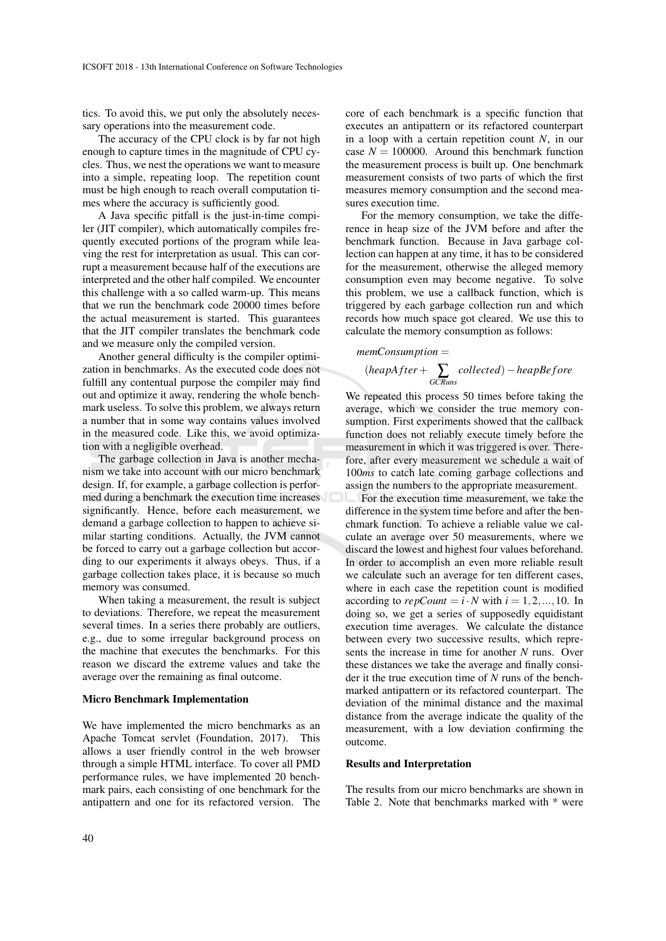tics. To avoid this, we put only the absolutely necessary operations into the measurement code.

The accuracy of the CPU clock is by far not high enough to capture times in the magnitude of CPU cycles. Thus, we nest the operations we want to measure into a simple, repeating loop. The repetition count must be high enough to reach overall computation times where the accuracy is sufficiently good.

A Java specific pitfall is the just-in-time compiler (JIT compiler), which automatically compiles frequently executed portions of the program while leaving the rest for interpretation as usual. This can corrupt a measurement because half of the executions are interpreted and the other half compiled. We encounter this challenge with a so called warm-up. This means that we run the benchmark code 20000 times before the actual measurement is started. This guarantees that the JIT compiler translates the benchmark code and we measure only the compiled version.

Another general difficulty is the compiler optimization in benchmarks. As the executed code does not fulfill any contentual purpose the compiler may find out and optimize it away, rendering the whole benchmark useless. To solve this problem, we always return a number that in some way contains values involved in the measured code. Like this, we avoid optimization with a negligible overhead.

The garbage collection in Java is another mechanism we take into account with our micro benchmark design. If, for example, a garbage collection is performed during a benchmark the execution time increases significantly. Hence, before each measurement, we demand a garbage collection to happen to achieve similar starting conditions. Actually, the JVM cannot be forced to carry out a garbage collection but according to our experiments it always obeys. Thus, if a garbage collection takes place, it is because so much memory was consumed.

When taking a measurement, the result is subject to deviations. Therefore, we repeat the measurement several times. In a series there probably are outliers, e.g., due to some irregular background process on the machine that executes the benchmarks. For this reason we discard the extreme values and take the average over the remaining as final outcome.

#### Micro Benchmark Implementation

We have implemented the micro benchmarks as an Apache Tomcat servlet (Foundation, 2017). This allows a user friendly control in the web browser through a simple HTML interface. To cover all PMD performance rules, we have implemented 20 benchmark pairs, each consisting of one benchmark for the antipattern and one for its refactored version. The core of each benchmark is a specific function that executes an antipattern or its refactored counterpart in a loop with a certain repetition count *N*, in our case  $N = 100000$ . Around this benchmark function the measurement process is built up. One benchmark measurement consists of two parts of which the first measures memory consumption and the second measures execution time.

For the memory consumption, we take the difference in heap size of the JVM before and after the benchmark function. Because in Java garbage collection can happen at any time, it has to be considered for the measurement, otherwise the alleged memory consumption even may become negative. To solve this problem, we use a callback function, which is triggered by each garbage collection run and which records how much space got cleared. We use this to calculate the memory consumption as follows:

$$
memconsumption =
$$

$$
(heapAfter + \sum_{GCRuns} collected) - heapBefore
$$

We repeated this process 50 times before taking the average, which we consider the true memory consumption. First experiments showed that the callback function does not reliably execute timely before the measurement in which it was triggered is over. Therefore, after every measurement we schedule a wait of 100*ms* to catch late coming garbage collections and assign the numbers to the appropriate measurement.

For the execution time measurement, we take the difference in the system time before and after the benchmark function. To achieve a reliable value we calculate an average over 50 measurements, where we discard the lowest and highest four values beforehand. In order to accomplish an even more reliable result we calculate such an average for ten different cases, where in each case the repetition count is modified according to  $repCount = i \cdot N$  with  $i = 1, 2, ..., 10$ . In doing so, we get a series of supposedly equidistant execution time averages. We calculate the distance between every two successive results, which represents the increase in time for another *N* runs. Over these distances we take the average and finally consider it the true execution time of *N* runs of the benchmarked antipattern or its refactored counterpart. The deviation of the minimal distance and the maximal distance from the average indicate the quality of the measurement, with a low deviation confirming the outcome.

#### Results and Interpretation

The results from our micro benchmarks are shown in Table 2. Note that benchmarks marked with \* were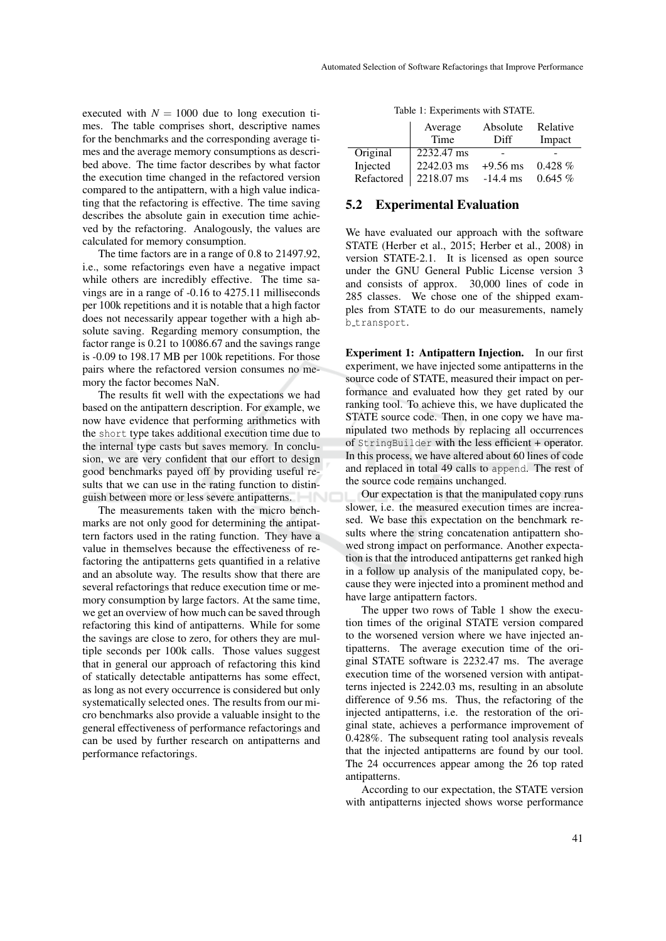executed with  $N = 1000$  due to long execution times. The table comprises short, descriptive names for the benchmarks and the corresponding average times and the average memory consumptions as described above. The time factor describes by what factor the execution time changed in the refactored version compared to the antipattern, with a high value indicating that the refactoring is effective. The time saving describes the absolute gain in execution time achieved by the refactoring. Analogously, the values are calculated for memory consumption.

The time factors are in a range of 0.8 to 21497.92, i.e., some refactorings even have a negative impact while others are incredibly effective. The time savings are in a range of -0.16 to 4275.11 milliseconds per 100k repetitions and it is notable that a high factor does not necessarily appear together with a high absolute saving. Regarding memory consumption, the factor range is 0.21 to 10086.67 and the savings range is -0.09 to 198.17 MB per 100k repetitions. For those pairs where the refactored version consumes no memory the factor becomes NaN.

The results fit well with the expectations we had based on the antipattern description. For example, we now have evidence that performing arithmetics with the short type takes additional execution time due to the internal type casts but saves memory. In conclusion, we are very confident that our effort to design good benchmarks payed off by providing useful results that we can use in the rating function to distinguish between more or less severe antipatterns.

The measurements taken with the micro benchmarks are not only good for determining the antipattern factors used in the rating function. They have a value in themselves because the effectiveness of refactoring the antipatterns gets quantified in a relative and an absolute way. The results show that there are several refactorings that reduce execution time or memory consumption by large factors. At the same time, we get an overview of how much can be saved through refactoring this kind of antipatterns. While for some the savings are close to zero, for others they are multiple seconds per 100k calls. Those values suggest that in general our approach of refactoring this kind of statically detectable antipatterns has some effect, as long as not every occurrence is considered but only systematically selected ones. The results from our micro benchmarks also provide a valuable insight to the general effectiveness of performance refactorings and can be used by further research on antipatterns and performance refactorings.

Table 1: Experiments with STATE.

|            | Average<br>Time | Absolute<br>Diff | Relative<br>Impact |
|------------|-----------------|------------------|--------------------|
| Original   | 2232.47 ms      |                  |                    |
| Injected   | 2242.03 ms      | $+9.56$ ms       | $0.428\%$          |
| Refactored | 2218.07 ms      | $-14.4$ ms       | $0.645\%$          |

### 5.2 Experimental Evaluation

We have evaluated our approach with the software STATE (Herber et al., 2015; Herber et al., 2008) in version STATE-2.1. It is licensed as open source under the GNU General Public License version 3 and consists of approx. 30,000 lines of code in 285 classes. We chose one of the shipped examples from STATE to do our measurements, namely b\_transport.

Experiment 1: Antipattern Injection. In our first experiment, we have injected some antipatterns in the source code of STATE, measured their impact on performance and evaluated how they get rated by our ranking tool. To achieve this, we have duplicated the STATE source code. Then, in one copy we have manipulated two methods by replacing all occurrences of StringBuilder with the less efficient + operator. In this process, we have altered about 60 lines of code and replaced in total 49 calls to append. The rest of the source code remains unchanged.

Our expectation is that the manipulated copy runs slower, i.e. the measured execution times are increased. We base this expectation on the benchmark results where the string concatenation antipattern showed strong impact on performance. Another expectation is that the introduced antipatterns get ranked high in a follow up analysis of the manipulated copy, because they were injected into a prominent method and have large antipattern factors.

The upper two rows of Table 1 show the execution times of the original STATE version compared to the worsened version where we have injected antipatterns. The average execution time of the original STATE software is 2232.47 ms. The average execution time of the worsened version with antipatterns injected is 2242.03 ms, resulting in an absolute difference of 9.56 ms. Thus, the refactoring of the injected antipatterns, i.e. the restoration of the original state, achieves a performance improvement of 0.428%. The subsequent rating tool analysis reveals that the injected antipatterns are found by our tool. The 24 occurrences appear among the 26 top rated antipatterns.

According to our expectation, the STATE version with antipatterns injected shows worse performance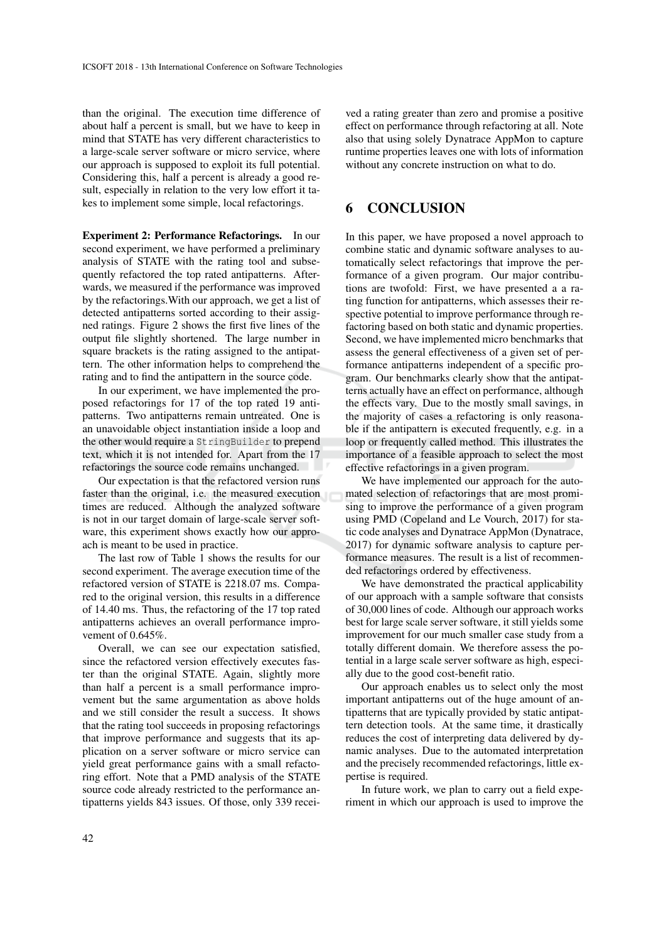than the original. The execution time difference of about half a percent is small, but we have to keep in mind that STATE has very different characteristics to a large-scale server software or micro service, where our approach is supposed to exploit its full potential. Considering this, half a percent is already a good result, especially in relation to the very low effort it takes to implement some simple, local refactorings.

Experiment 2: Performance Refactorings. In our second experiment, we have performed a preliminary analysis of STATE with the rating tool and subsequently refactored the top rated antipatterns. Afterwards, we measured if the performance was improved by the refactorings.With our approach, we get a list of detected antipatterns sorted according to their assigned ratings. Figure 2 shows the first five lines of the output file slightly shortened. The large number in square brackets is the rating assigned to the antipattern. The other information helps to comprehend the rating and to find the antipattern in the source code.

In our experiment, we have implemented the proposed refactorings for 17 of the top rated 19 antipatterns. Two antipatterns remain untreated. One is an unavoidable object instantiation inside a loop and the other would require a StringBuilder to prepend text, which it is not intended for. Apart from the 17 refactorings the source code remains unchanged.

Our expectation is that the refactored version runs faster than the original, i.e. the measured execution times are reduced. Although the analyzed software is not in our target domain of large-scale server software, this experiment shows exactly how our approach is meant to be used in practice.

The last row of Table 1 shows the results for our second experiment. The average execution time of the refactored version of STATE is 2218.07 ms. Compared to the original version, this results in a difference of 14.40 ms. Thus, the refactoring of the 17 top rated antipatterns achieves an overall performance improvement of 0.645%.

Overall, we can see our expectation satisfied, since the refactored version effectively executes faster than the original STATE. Again, slightly more than half a percent is a small performance improvement but the same argumentation as above holds and we still consider the result a success. It shows that the rating tool succeeds in proposing refactorings that improve performance and suggests that its application on a server software or micro service can yield great performance gains with a small refactoring effort. Note that a PMD analysis of the STATE source code already restricted to the performance antipatterns yields 843 issues. Of those, only 339 recei-

ved a rating greater than zero and promise a positive effect on performance through refactoring at all. Note also that using solely Dynatrace AppMon to capture runtime properties leaves one with lots of information without any concrete instruction on what to do.

## 6 CONCLUSION

In this paper, we have proposed a novel approach to combine static and dynamic software analyses to automatically select refactorings that improve the performance of a given program. Our major contributions are twofold: First, we have presented a a rating function for antipatterns, which assesses their respective potential to improve performance through refactoring based on both static and dynamic properties. Second, we have implemented micro benchmarks that assess the general effectiveness of a given set of performance antipatterns independent of a specific program. Our benchmarks clearly show that the antipatterns actually have an effect on performance, although the effects vary. Due to the mostly small savings, in the majority of cases a refactoring is only reasonable if the antipattern is executed frequently, e.g. in a loop or frequently called method. This illustrates the importance of a feasible approach to select the most effective refactorings in a given program.

We have implemented our approach for the automated selection of refactorings that are most promising to improve the performance of a given program using PMD (Copeland and Le Vourch, 2017) for static code analyses and Dynatrace AppMon (Dynatrace, 2017) for dynamic software analysis to capture performance measures. The result is a list of recommended refactorings ordered by effectiveness.

We have demonstrated the practical applicability of our approach with a sample software that consists of 30,000 lines of code. Although our approach works best for large scale server software, it still yields some improvement for our much smaller case study from a totally different domain. We therefore assess the potential in a large scale server software as high, especially due to the good cost-benefit ratio.

Our approach enables us to select only the most important antipatterns out of the huge amount of antipatterns that are typically provided by static antipattern detection tools. At the same time, it drastically reduces the cost of interpreting data delivered by dynamic analyses. Due to the automated interpretation and the precisely recommended refactorings, little expertise is required.

In future work, we plan to carry out a field experiment in which our approach is used to improve the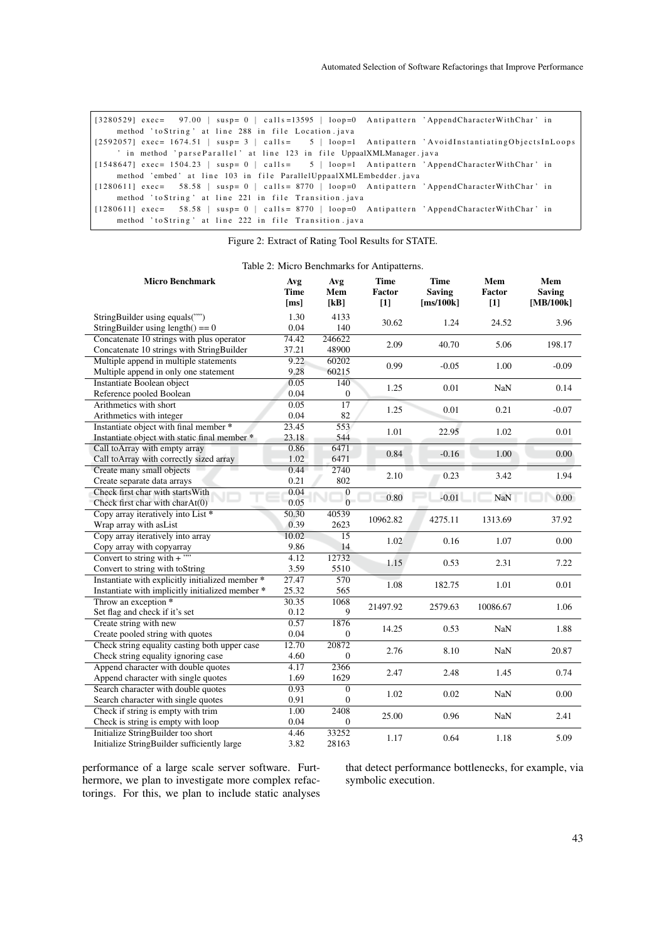| [3280529] exec= 97.00   susp= 0   calls=13595   loop=0 Antipattern 'AppendCharacterWithChar' in<br>method 'toString' at line 288 in file Location.java |  |  |  |  |  |  |
|--------------------------------------------------------------------------------------------------------------------------------------------------------|--|--|--|--|--|--|
| [2592057] exec= 1674.51   susp= 3   calls= 5   loop=1 Antipattern 'AvoidInstantiatingObjectsInLoops                                                    |  |  |  |  |  |  |
| ' in method 'parseParallel' at line 123 in file UppaalXMLManager.java                                                                                  |  |  |  |  |  |  |
| $[1548647]$ exec= 1504.23   susp= 0   calls= 5   loop=1 Antipattern 'AppendCharacterWithChar' in                                                       |  |  |  |  |  |  |
| method 'embed' at line 103 in file ParallelUppaalXMLEmbedder.java                                                                                      |  |  |  |  |  |  |
| [1280611] $\text{exec} = 58.58$   $\text{sup} = 0$   $\text{cal1s} = 8770$   $\text{loop} = 0$ Antipattern 'AppendCharacterWithChar' in                |  |  |  |  |  |  |
| method 'toString' at line 221 in file Transition.java                                                                                                  |  |  |  |  |  |  |
| [1280611] $\text{exec} = 58.58$   $\text{susp} = 0$   $\text{calls} = 8770$   $\text{loop} = 0$ Antipattern 'AppendCharacterWithChar' in               |  |  |  |  |  |  |
| method 'toString' at line 222 in file Transition.java                                                                                                  |  |  |  |  |  |  |

Figure 2: Extract of Rating Tool Results for STATE.

| Table 2: Micro Benchmarks for Antipatterns. |  |  |
|---------------------------------------------|--|--|
|---------------------------------------------|--|--|

| <b>Micro Benchmark</b>                                                                               | Avg<br><b>Time</b><br>[ms] | Avg<br>Mem<br>[kB]               | <b>Time</b><br><b>Factor</b><br>$[1]$ | <b>Time</b><br><b>Saving</b><br>[ms/100k] | Mem<br><b>Factor</b><br>$[1]$ | Mem<br><b>Saving</b><br>[MB/100k] |
|------------------------------------------------------------------------------------------------------|----------------------------|----------------------------------|---------------------------------------|-------------------------------------------|-------------------------------|-----------------------------------|
| StringBuilder using equals("")<br>StringBuilder using length $() == 0$                               | 1.30<br>0.04               | 4133<br>140                      | 30.62                                 | 1.24                                      | 24.52                         | 3.96                              |
| Concatenate 10 strings with plus operator<br>Concatenate 10 strings with StringBuilder               | 74.42<br>37.21             | 246622<br>48900                  | 2.09                                  | 40.70                                     | 5.06                          | 198.17                            |
| Multiple append in multiple statements<br>Multiple append in only one statement                      | 9.22<br>9.28               | 60202<br>60215                   | 0.99                                  | $-0.05$                                   | 1.00                          | $-0.09$                           |
| Instantiate Boolean object<br>Reference pooled Boolean                                               | 0.05<br>0.04               | 140<br>$\mathbf{0}$              | 1.25                                  | 0.01                                      | <b>NaN</b>                    | 0.14                              |
| Arithmetics with short<br>Arithmetics with integer                                                   | 0.05<br>0.04               | $\overline{17}$<br>82            | 1.25                                  | 0.01                                      | 0.21                          | $-0.07$                           |
| Instantiate object with final member *<br>Instantiate object with static final member *              | 23.45<br>23.18             | 553<br>544                       | 1.01                                  | 22.95                                     | 1.02                          | 0.01                              |
| Call to Array with empty array<br>Call toArray with correctly sized array                            | 0.86<br>1.02               | 6471<br>6471                     | 0.84                                  | $-0.16$                                   | 1.00                          | 0.00                              |
| Create many small objects<br>Create separate data arrays                                             | 0.44<br>0.21               | 2740<br>802                      | 2.10                                  | 0.23                                      | 3.42                          | 1.94                              |
| Check first char with starts With<br>Check first char with charAt(0)                                 | 0.04<br>0.05               | $\boldsymbol{0}$<br>$\Omega$     | 0.80                                  | $-0.01$                                   | <b>NaN</b>                    | 0.00                              |
| Copy array iteratively into List *<br>Wrap array with asList                                         | 50.30<br>0.39              | 40539<br>2623                    | 10962.82                              | 4275.11                                   | 1313.69                       | 37.92                             |
| Copy array iteratively into array<br>Copy array with copyarray                                       | 10.02<br>9.86              | 15<br>14                         | 1.02                                  | 0.16                                      | 1.07                          | 0.00                              |
| Convert to string with $+$ ""<br>Convert to string with toString                                     | 4.12<br>3.59               | 12732<br>5510                    | 1.15                                  | 0.53                                      | 2.31                          | 7.22                              |
| Instantiate with explicitly initialized member *<br>Instantiate with implicitly initialized member * | 27.47<br>25.32             | 570<br>565                       | 1.08                                  | 182.75                                    | 1.01                          | 0.01                              |
| Throw an exception *<br>Set flag and check if it's set                                               | 30.35<br>0.12              | 1068<br>9                        | 21497.92                              | 2579.63                                   | 10086.67                      | 1.06                              |
| Create string with new<br>Create pooled string with quotes                                           | 0.57<br>0.04               | 1876<br>$\mathbf{0}$             | 14.25                                 | 0.53                                      | NaN                           | 1.88                              |
| Check string equality casting both upper case<br>Check string equality ignoring case                 | 12.70<br>4.60              | 20872<br>0                       | 2.76                                  | 8.10                                      | <b>NaN</b>                    | 20.87                             |
| Append character with double quotes<br>Append character with single quotes                           | 4.17<br>1.69               | 2366<br>1629                     | 2.47                                  | 2.48                                      | 1.45                          | 0.74                              |
| Search character with double quotes<br>Search character with single quotes                           | 0.93<br>0.91               | $\mathbf{0}$<br>$\boldsymbol{0}$ | 1.02                                  | 0.02                                      | <b>NaN</b>                    | 0.00                              |
| Check if string is empty with trim<br>Check is string is empty with loop                             | 1.00<br>0.04               | 2408<br>$\mathbf{0}$             | 25.00                                 | 0.96                                      | <b>NaN</b>                    | 2.41                              |
| Initialize StringBuilder too short<br>Initialize StringBuilder sufficiently large                    | 4.46<br>3.82               | 33252<br>28163                   | 1.17                                  | 0.64                                      | 1.18                          | 5.09                              |

performance of a large scale server software. Furthermore, we plan to investigate more complex refactorings. For this, we plan to include static analyses that detect performance bottlenecks, for example, via symbolic execution.